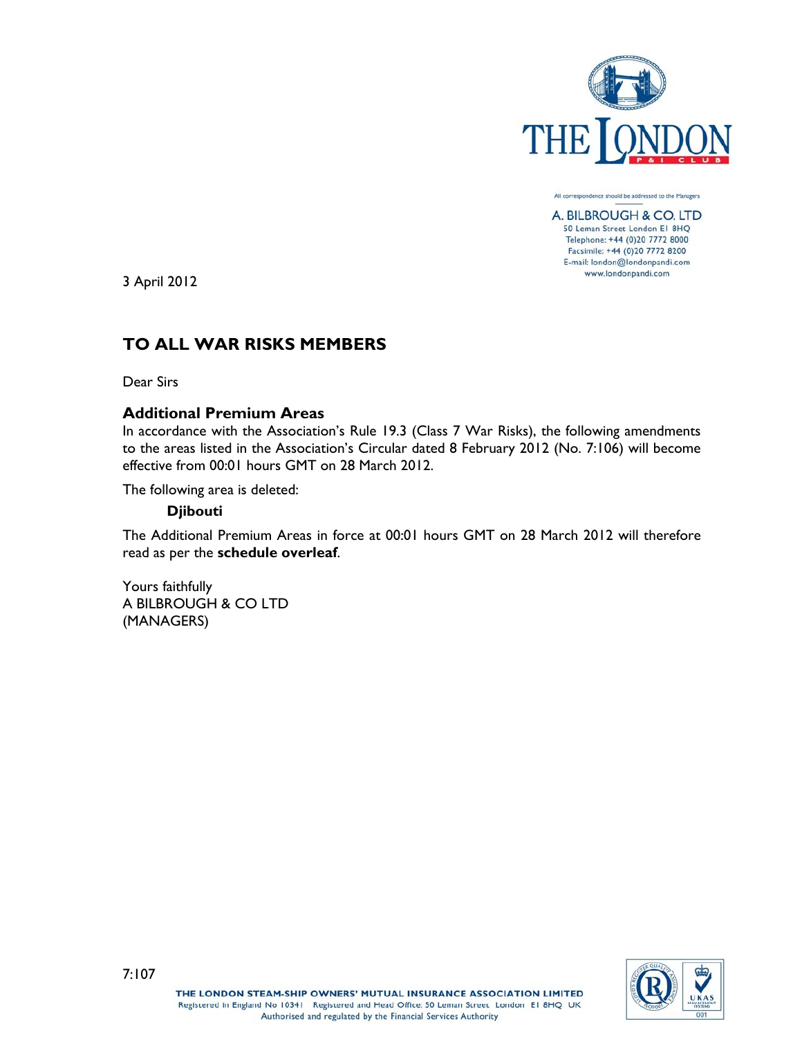

All correspondence should be addressed to the Managers A. BILBROUGH & CO. LTD 50 Leman Street London E1 8HQ Telephone: +44 (0)20 7772 8000 Facsimile: +44 (0)20 7772 8200

E-mail: london@londonpandi.com www.londonpandi.com

3 April 2012

# **TO ALL WAR RISKS MEMBERS**

Dear Sirs

# **Additional Premium Areas**

In accordance with the Association's Rule 19.3 (Class 7 War Risks), the following amendments to the areas listed in the Association's Circular dated 8 February 2012 (No. 7:106) will become effective from 00:01 hours GMT on 28 March 2012.

The following area is deleted:

# **Djibouti**

The Additional Premium Areas in force at 00:01 hours GMT on 28 March 2012 will therefore read as per the **schedule overleaf**.

Yours faithfully A BILBROUGH & CO LTD (MANAGERS)